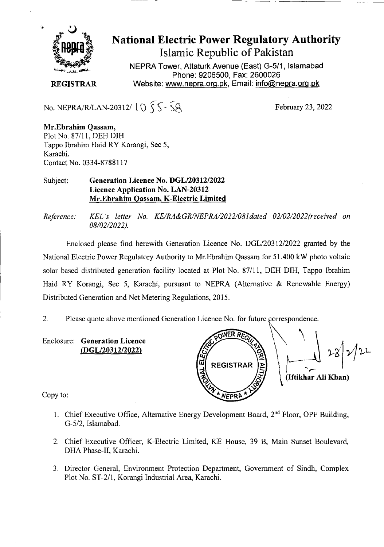

National Electric Power Regulatory Authority Islamic Republic of Pakistan

**NEPRA Tower, Attaturk Avenue (East) G-5/1, Islamabad Phone: 9206500, Fax: 2600026 REGISTRAR** Website: www.nepra.org.pk, Email: info@nepra.org.pk

No. NEPRA/R/LAN-20312/  $10\overline{55}-\overline{58}$ 

February 23, 2022

**Mr.Ebrahim Qassam,**  Plot No. 87/11, DEH DIH Tappo Ibrahim Flaid RY Korangi, Sec 5, Karachi. Contact No. 0334-8788117

## Subject: **Generation Licence No. DGL/20312/2022 Licence Application No. LAN-20312 Mr.Ebrahim Qassam, K-Electric Limited**

*Reference. KEL 's letter No. KE/RA&GR/NEPRA/2022/081dated 02/02/2022(received on*  08/02/2022).

Enclosed please find herewith Generation Licence No. DGL/203 12/2022 granted by the National Electric Power Regulatory Authority to Mr.Ebrahim Qassam for 51.400 kW photo voltaic solar based distributed generation facility located at Plot No. 87/11, DEH DIH, Tappo Ibrahim Haid RY Korangi, Sec 5, Karachi, pursuant to NEPRA (Alternative & Renewable Energy) Distributed Generation and Net Metering Regulations, 2015.

2. Please quote above mentioned Generation Licence No. for future correspondence.

Enclosure: **Generation Licence (DGL/20312/2022)** 

ũ **REGISTRAR (Iftikhar All Khan)**  VEPR

Copy to:

- 1. Chief Executive Office, Alternative Energy Development Board,  $2<sup>nd</sup>$  Floor, OPF Building, G-5/2, Islamabad.
- 2. Chief Executive Officer, K-Electric Limited, KE House, *39* B, Main Sunset Boulevard, DHA Phase-Il, Karachi.
- 3. Director General, Environment Protection Department, Government of Sindh, Complex Plot No. ST-2/l, Korangi Industrial Area, Karachi.